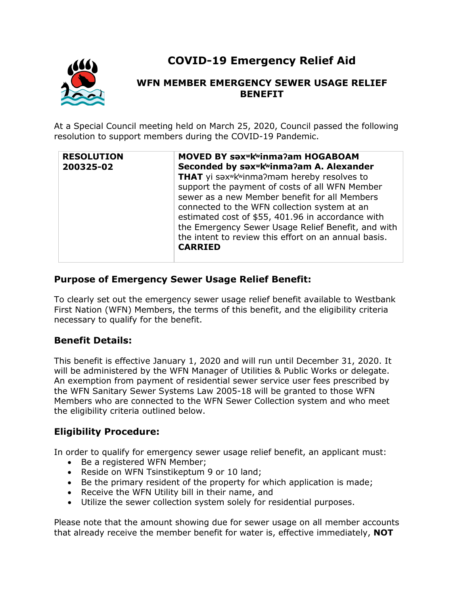

# **COVID-19 Emergency Relief Aid**

## **WFN MEMBER EMERGENCY SEWER USAGE RELIEF BENEFIT**

At a Special Council meeting held on March 25, 2020, Council passed the following resolution to support members during the COVID-19 Pandemic.

| <b>RESOLUTION</b><br>200325-02 | MOVED BY saxwkwinma?am HOGABOAM<br>Seconded by sax <sup>w</sup> k <sup>w</sup> inma?am A. Alexander<br>THAT yi sax <sup>wkw</sup> inma?mam hereby resolves to<br>support the payment of costs of all WFN Member<br>sewer as a new Member benefit for all Members<br>connected to the WFN collection system at an |
|--------------------------------|------------------------------------------------------------------------------------------------------------------------------------------------------------------------------------------------------------------------------------------------------------------------------------------------------------------|
|                                | estimated cost of \$55, 401.96 in accordance with<br>the Emergency Sewer Usage Relief Benefit, and with<br>the intent to review this effort on an annual basis.<br><b>CARRIED</b>                                                                                                                                |

## **Purpose of Emergency Sewer Usage Relief Benefit:**

To clearly set out the emergency sewer usage relief benefit available to Westbank First Nation (WFN) Members, the terms of this benefit, and the eligibility criteria necessary to qualify for the benefit.

### **Benefit Details:**

This benefit is effective January 1, 2020 and will run until December 31, 2020. It will be administered by the WFN Manager of Utilities & Public Works or delegate. An exemption from payment of residential sewer service user fees prescribed by the WFN Sanitary Sewer Systems Law 2005-18 will be granted to those WFN Members who are connected to the WFN Sewer Collection system and who meet the eligibility criteria outlined below.

### **Eligibility Procedure:**

In order to qualify for emergency sewer usage relief benefit, an applicant must:

- Be a registered WFN Member;
- Reside on WFN Tsinstikeptum 9 or 10 land;
- Be the primary resident of the property for which application is made;
- Receive the WFN Utility bill in their name, and
- Utilize the sewer collection system solely for residential purposes.

Please note that the amount showing due for sewer usage on all member accounts that already receive the member benefit for water is, effective immediately, **NOT**